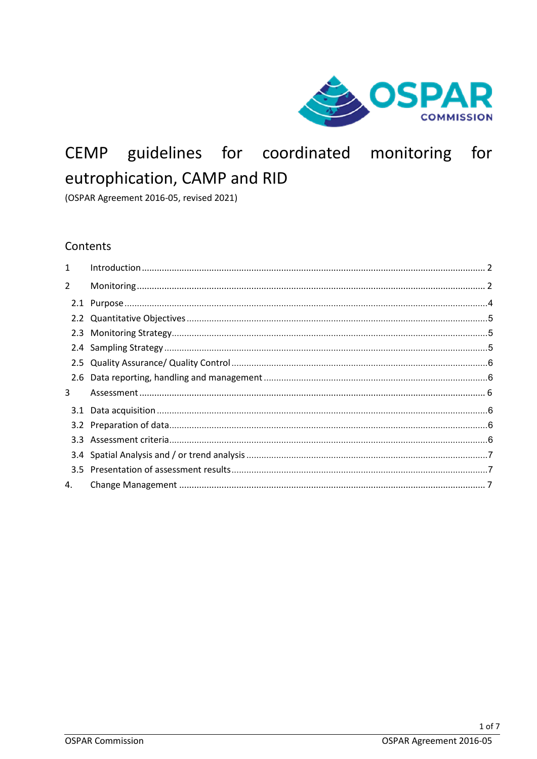

# guidelines for coordinated monitoring for CEMP eutrophication, CAMP and RID

(OSPAR Agreement 2016-05, revised 2021)

# Contents

| $\mathbf{1}$   |  |
|----------------|--|
| $\overline{2}$ |  |
|                |  |
|                |  |
|                |  |
|                |  |
|                |  |
|                |  |
| 3              |  |
|                |  |
|                |  |
|                |  |
|                |  |
|                |  |
| 4.             |  |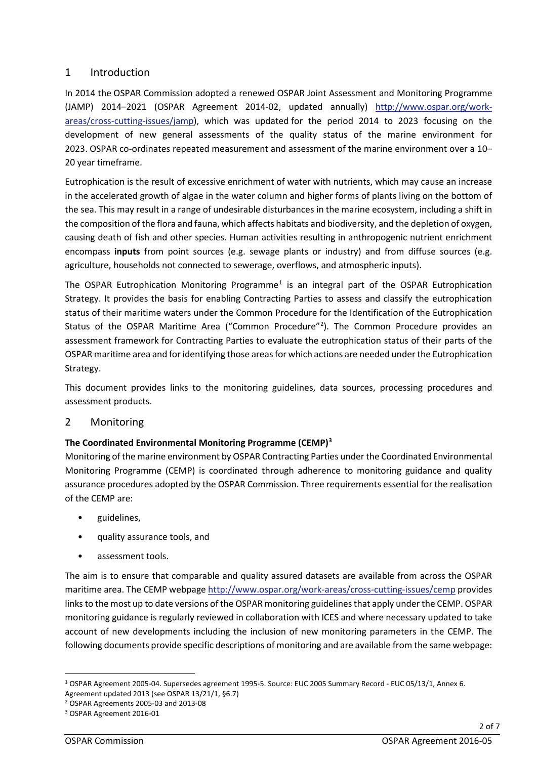# 1 Introduction

In 2014 the OSPAR Commission adopted a renewed OSPAR Joint Assessment and Monitoring Programme (JAMP) 2014–2021 (OSPAR Agreement 2014-02, updated annually) [http://www.ospar.org/work](http://www.ospar.org/work-areas/cross-cutting-issues/jamp)[areas/cross-cutting-issues/jamp\)](http://www.ospar.org/work-areas/cross-cutting-issues/jamp), which was updated for the period 2014 to 2023 focusing on the development of new general assessments of the quality status of the marine environment for 2023. OSPAR co-ordinates repeated measurement and assessment of the marine environment over a 10– 20 year timeframe.

Eutrophication is the result of excessive enrichment of water with nutrients, which may cause an increase in the accelerated growth of algae in the water column and higher forms of plants living on the bottom of the sea. This may result in a range of undesirable disturbances in the marine ecosystem, including a shift in the composition of the flora and fauna, which affects habitats and biodiversity, and the depletion of oxygen, causing death of fish and other species. Human activities resulting in anthropogenic nutrient enrichment encompass **inputs** from point sources (e.g. sewage plants or industry) and from diffuse sources (e.g. agriculture, households not connected to sewerage, overflows, and atmospheric inputs).

The OSPAR Eutrophication Monitoring Programme<sup>[1](#page-1-0)</sup> is an integral part of the OSPAR Eutrophication Strategy. It provides the basis for enabling Contracting Parties to assess and classify the eutrophication status of their maritime waters under the Common Procedure for the Identification of the Eutrophication Status of the OSPAR Maritime Area ("Common Procedure"<sup>[2](#page-1-1)</sup>). The Common Procedure provides an assessment framework for Contracting Parties to evaluate the eutrophication status of their parts of the OSPAR maritime area and for identifying those areas for which actions are needed under the Eutrophication Strategy.

This document provides links to the monitoring guidelines, data sources, processing procedures and assessment products.

# 2 Monitoring

# **The Coordinated Environmental Monitoring Programme (CEMP)[3](#page-1-2)**

Monitoring of the marine environment by OSPAR Contracting Parties under the Coordinated Environmental Monitoring Programme (CEMP) is coordinated through adherence to monitoring guidance and quality assurance procedures adopted by the OSPAR Commission. Three requirements essential for the realisation of the CEMP are:

- guidelines,
- quality assurance tools, and
- assessment tools.

The aim is to ensure that comparable and quality assured datasets are available from across the OSPAR maritime area. The CEMP webpage <http://www.ospar.org/work-areas/cross-cutting-issues/cemp> provides links to the most up to date versions of the OSPAR monitoring guidelines that apply under the CEMP. OSPAR monitoring guidance is regularly reviewed in collaboration with ICES and where necessary updated to take account of new developments including the inclusion of new monitoring parameters in the CEMP. The following documents provide specific descriptions of monitoring and are available from the same webpage:

<span id="page-1-0"></span><sup>1</sup> OSPAR Agreement 2005-04. Supersedes agreement 1995-5. Source: EUC 2005 Summary Record - EUC 05/13/1, Annex 6.

Agreement updated 2013 (see OSPAR 13/21/1, §6.7)

<span id="page-1-1"></span><sup>2</sup> OSPAR Agreements 2005-03 and 2013-08

<span id="page-1-2"></span><sup>3</sup> OSPAR Agreement 2016-01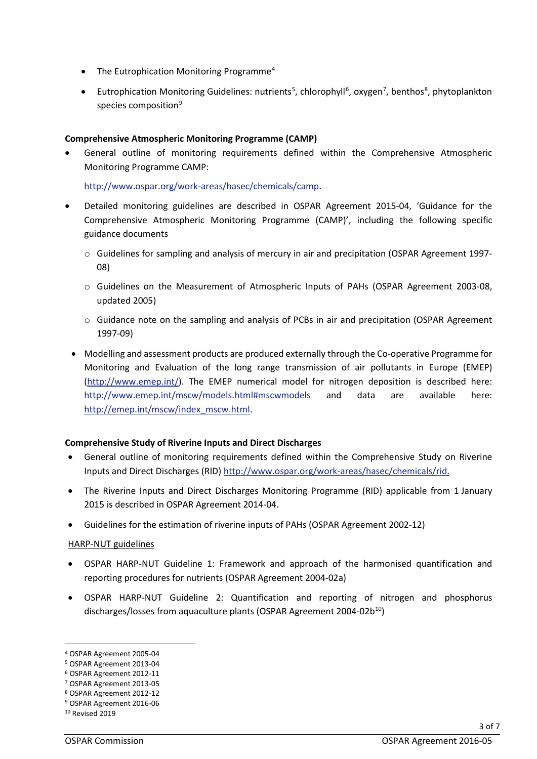- The Eutrophication Monitoring Programme<sup>4</sup>
- Eutrophication Monitoring Guidelines: nutrients<sup>[5](#page-2-1)</sup>, chlorophyll<sup>[6](#page-2-2)</sup>, oxygen<sup>[7](#page-2-3)</sup>, benthos<sup>[8](#page-2-4)</sup>, phytoplankton species composition<sup>[9](#page-2-5)</sup>

#### **Comprehensive Atmospheric Monitoring Programme (CAMP)**

• General outline of monitoring requirements defined within the Comprehensive Atmospheric Monitoring Programme CAMP:

[http://www.ospar.org/work-areas/hasec/chemicals/camp.](http://www.ospar.org/work-areas/hasec/chemicals/camp)

- Detailed monitoring guidelines are described in OSPAR Agreement 2015-04, 'Guidance for the Comprehensive Atmospheric Monitoring Programme (CAMP)', including the following specific guidance documents
	- o Guidelines for sampling and analysis of mercury in air and precipitation (OSPAR Agreement 1997- 08)
	- o Guidelines on the Measurement of Atmospheric Inputs of PAHs (OSPAR Agreement 2003-08, updated 2005)
	- o Guidance note on the sampling and analysis of PCBs in air and precipitation (OSPAR Agreement 1997-09)
	- Modelling and assessment products are produced externally through the Co-operative Programme for Monitoring and Evaluation of the long range transmission of air pollutants in Europe (EMEP) [\(http://www.emep.int/\)](http://www.emep.int/). The EMEP numerical model for nitrogen deposition is described here: <http://www.emep.int/mscw/models.html#mscwmodels> and data are available here: [http://emep.int/mscw/index\\_mscw.html.](http://emep.int/mscw/index_mscw.html)

#### **Comprehensive Study of Riverine Inputs and Direct Discharges**

- General outline of monitoring requirements defined within the Comprehensive Study on Riverine Inputs and Direct Discharges (RID) [http://www.ospar.org/work-areas/hasec/chemicals/rid.](http://www.ospar.org/work-areas/hasec/chemicals/rid)
- The Riverine Inputs and Direct Discharges Monitoring Programme (RID) applicable from 1 January 2015 is described in OSPAR Agreement 2014-04.
- Guidelines for the estimation of riverine inputs of PAHs (OSPAR Agreement 2002-12)

#### HARP-NUT guidelines

- OSPAR HARP-NUT Guideline 1: Framework and approach of the harmonised quantification and reporting procedures for nutrients (OSPAR Agreement 2004-02a)
- OSPAR HARP-NUT Guideline 2: Quantification and reporting of nitrogen and phosphorus discharges/losses from aquaculture plants (OSPAR Agreement  $2004-02b^{10}$  $2004-02b^{10}$  $2004-02b^{10}$ )

<span id="page-2-0"></span><sup>4</sup> OSPAR Agreement 2005-04

<span id="page-2-1"></span><sup>5</sup> OSPAR Agreement 2013-04

<span id="page-2-2"></span><sup>6</sup> OSPAR Agreement 2012-11

<span id="page-2-3"></span><sup>7</sup> OSPAR Agreement 2013-05

<span id="page-2-4"></span><sup>8</sup> OSPAR Agreement 2012-12 9 OSPAR Agreement 2016-06

<span id="page-2-6"></span><span id="page-2-5"></span><sup>10</sup> Revised 2019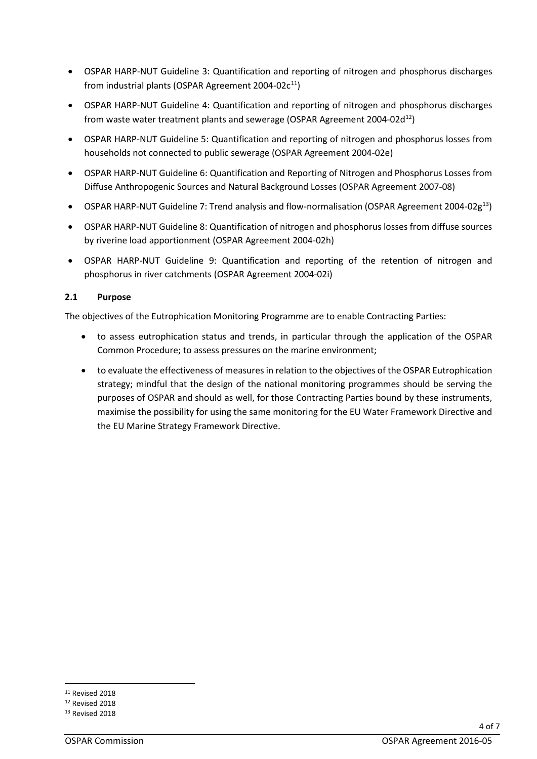- OSPAR HARP-NUT Guideline 3: Quantification and reporting of nitrogen and phosphorus discharges from industrial plants (OSPAR Agreement 2004-02 $c^{11}$ )
- OSPAR HARP-NUT Guideline 4: Quantification and reporting of nitrogen and phosphorus discharges from waste water treatment plants and sewerage (OSPAR Agreement 2004-02 $d^{12}$ )
- OSPAR HARP-NUT Guideline 5: Quantification and reporting of nitrogen and phosphorus losses from households not connected to public sewerage (OSPAR Agreement 2004-02e)
- OSPAR HARP-NUT Guideline 6: Quantification and Reporting of Nitrogen and Phosphorus Losses from Diffuse Anthropogenic Sources and Natural Background Losses (OSPAR Agreement 2007-08)
- OSPAR HARP-NUT Guideline 7: Trend analysis and flow-normalisation (OSPAR Agreement 2004-02g[13](#page-3-2))
- OSPAR HARP-NUT Guideline 8: Quantification of nitrogen and phosphorus losses from diffuse sources by riverine load apportionment (OSPAR Agreement 2004-02h)
- OSPAR HARP-NUT Guideline 9: Quantification and reporting of the retention of nitrogen and phosphorus in river catchments (OSPAR Agreement 2004-02i)

# **2.1 Purpose**

The objectives of the Eutrophication Monitoring Programme are to enable Contracting Parties:

- to assess eutrophication status and trends, in particular through the application of the OSPAR Common Procedure; to assess pressures on the marine environment;
- to evaluate the effectiveness of measures in relation to the objectives of the OSPAR Eutrophication strategy; mindful that the design of the national monitoring programmes should be serving the purposes of OSPAR and should as well, for those Contracting Parties bound by these instruments, maximise the possibility for using the same monitoring for the EU Water Framework Directive and the EU Marine Strategy Framework Directive.

<span id="page-3-0"></span><sup>11</sup> Revised 2018

<span id="page-3-1"></span><sup>12</sup> Revised 2018

<span id="page-3-2"></span><sup>13</sup> Revised 2018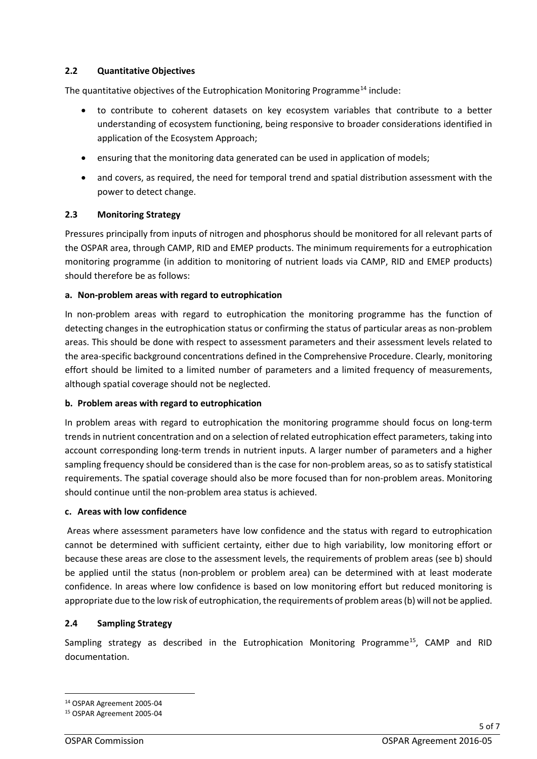### **2.2 Quantitative Objectives**

The quantitative objectives of the Eutrophication Monitoring Programme<sup>[14](#page-4-0)</sup> include:

- to contribute to coherent datasets on key ecosystem variables that contribute to a better understanding of ecosystem functioning, being responsive to broader considerations identified in application of the Ecosystem Approach;
- ensuring that the monitoring data generated can be used in application of models;
- and covers, as required, the need for temporal trend and spatial distribution assessment with the power to detect change.

### **2.3 Monitoring Strategy**

Pressures principally from inputs of nitrogen and phosphorus should be monitored for all relevant parts of the OSPAR area, through CAMP, RID and EMEP products. The minimum requirements for a eutrophication monitoring programme (in addition to monitoring of nutrient loads via CAMP, RID and EMEP products) should therefore be as follows:

### **a. Non-problem areas with regard to eutrophication**

In non-problem areas with regard to eutrophication the monitoring programme has the function of detecting changes in the eutrophication status or confirming the status of particular areas as non-problem areas. This should be done with respect to assessment parameters and their assessment levels related to the area-specific background concentrations defined in the Comprehensive Procedure. Clearly, monitoring effort should be limited to a limited number of parameters and a limited frequency of measurements, although spatial coverage should not be neglected.

#### **b. Problem areas with regard to eutrophication**

In problem areas with regard to eutrophication the monitoring programme should focus on long-term trends in nutrient concentration and on a selection of related eutrophication effect parameters, taking into account corresponding long-term trends in nutrient inputs. A larger number of parameters and a higher sampling frequency should be considered than is the case for non-problem areas, so as to satisfy statistical requirements. The spatial coverage should also be more focused than for non-problem areas. Monitoring should continue until the non-problem area status is achieved.

#### **c. Areas with low confidence**

Areas where assessment parameters have low confidence and the status with regard to eutrophication cannot be determined with sufficient certainty, either due to high variability, low monitoring effort or because these areas are close to the assessment levels, the requirements of problem areas (see b) should be applied until the status (non-problem or problem area) can be determined with at least moderate confidence. In areas where low confidence is based on low monitoring effort but reduced monitoring is appropriate due to the low risk of eutrophication, the requirements of problem areas (b) will not be applied.

# **2.4 Sampling Strategy**

Sampling strategy as described in the Eutrophication Monitoring Programme<sup>[15](#page-4-1)</sup>, CAMP and RID documentation.

<span id="page-4-0"></span><sup>14</sup> OSPAR Agreement 2005-04

<span id="page-4-1"></span><sup>15</sup> OSPAR Agreement 2005-04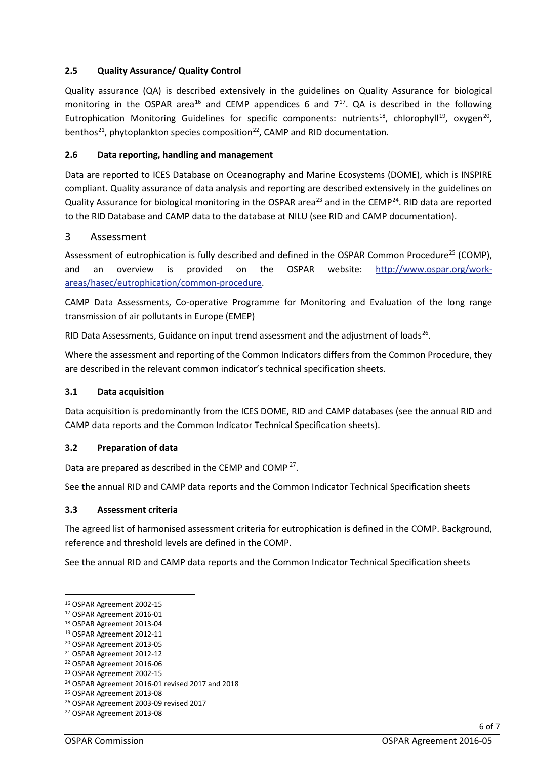# **2.5 Quality Assurance/ Quality Control**

Quality assurance (QA) is described extensively in the guidelines on Quality Assurance for biological monitoring in the OSPAR area<sup>[16](#page-5-0)</sup> and CEMP appendices 6 and  $7^{17}$  $7^{17}$  $7^{17}$ . QA is described in the following Eutrophication Monitoring Guidelines for specific components: nutrients<sup>18</sup>, chlorophyll<sup>[19](#page-5-3)</sup>, oxygen<sup>20</sup>, benthos<sup>[21](#page-5-5)</sup>, phytoplankton species composition<sup>[22](#page-5-6)</sup>, CAMP and RID documentation.

### **2.6 Data reporting, handling and management**

Data are reported to ICES Database on Oceanography and Marine Ecosystems (DOME), which is INSPIRE compliant. Quality assurance of data analysis and reporting are described extensively in the guidelines on Quality Assurance for biological monitoring in the OSPAR area<sup>[23](#page-5-7)</sup> and in the CEMP<sup>[24](#page-5-8)</sup>. RID data are reported to the RID Database and CAMP data to the database at NILU (see RID and CAMP documentation).

### 3 Assessment

Assessment of eutrophication is fully described and defined in the OSPAR Common Procedure<sup>[25](#page-5-9)</sup> (COMP), and an overview is provided on the OSPAR website: [http://www.ospar.org/work](http://www.ospar.org/work-areas/hasec/eutrophication/common-procedure)[areas/hasec/eutrophication/common-procedure.](http://www.ospar.org/work-areas/hasec/eutrophication/common-procedure)

CAMP Data Assessments, Co-operative Programme for Monitoring and Evaluation of the long range transmission of air pollutants in Europe (EMEP)

RID Data Assessments, Guidance on input trend assessment and the adjustment of loads<sup>[26](#page-5-10)</sup>.

Where the assessment and reporting of the Common Indicators differs from the Common Procedure, they are described in the relevant common indicator's technical specification sheets.

#### **3.1 Data acquisition**

Data acquisition is predominantly from the ICES DOME, RID and CAMP databases (see the annual RID and CAMP data reports and the Common Indicator Technical Specification sheets).

#### **3.2 Preparation of data**

Data are prepared as described in the CEMP and COMP<sup>[27](#page-5-11)</sup>.

See the annual RID and CAMP data reports and the Common Indicator Technical Specification sheets

#### **3.3 Assessment criteria**

The agreed list of harmonised assessment criteria for eutrophication is defined in the COMP. Background, reference and threshold levels are defined in the COMP.

See the annual RID and CAMP data reports and the Common Indicator Technical Specification sheets

<span id="page-5-0"></span><sup>16</sup> OSPAR Agreement 2002-15

<span id="page-5-1"></span><sup>17</sup> OSPAR Agreement 2016-01

<span id="page-5-2"></span><sup>18</sup> OSPAR Agreement 2013-04

<span id="page-5-3"></span><sup>19</sup> OSPAR Agreement 2012-11

<span id="page-5-4"></span><sup>20</sup> OSPAR Agreement 2013-05

<span id="page-5-5"></span><sup>21</sup> OSPAR Agreement 2012-12 22 OSPAR Agreement 2016-06

<span id="page-5-7"></span><span id="page-5-6"></span><sup>23</sup> OSPAR Agreement 2002-15

<span id="page-5-8"></span><sup>24</sup> OSPAR Agreement 2016-01 revised 2017 and 2018

<span id="page-5-9"></span><sup>25</sup> OSPAR Agreement 2013-08

<span id="page-5-10"></span><sup>26</sup> OSPAR Agreement 2003-09 revised 2017

<span id="page-5-11"></span><sup>27</sup> OSPAR Agreement 2013-08